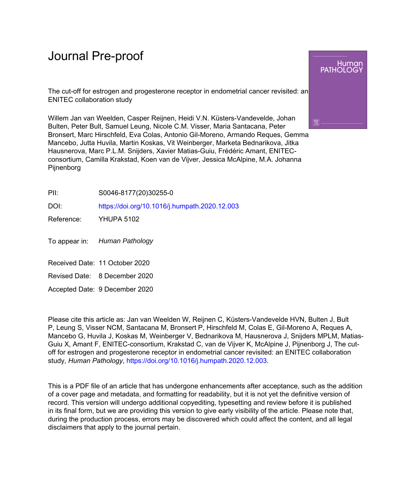# Journal Pre-proof

The cut-off for estrogen and progesterone receptor in endometrial cancer revisited: an ENITEC collaboration study

Willem Jan van Weelden, Casper Reijnen, Heidi V.N. Küsters-Vandevelde, Johan Bulten, Peter Bult, Samuel Leung, Nicole C.M. Visser, Maria Santacana, Peter Bronsert, Marc Hirschfeld, Eva Colas, Antonio Gil-Moreno, Armando Reques, Gemma Mancebo, Jutta Huvila, Martin Koskas, Vit Weinberger, Marketa Bednarikova, Jitka Hausnerova, Marc P.L.M. Snijders, Xavier Matias-Guiu, Frédéric Amant, ENITECconsortium, Camilla Krakstad, Koen van de Vijver, Jessica McAlpine, M.A. Johanna Pijnenborg

PII: S0046-8177(20)30255-0

DOI: <https://doi.org/10.1016/j.humpath.2020.12.003>

Reference: YHUPA 5102

To appear in: Human Pathology

Received Date: 11 October 2020

Revised Date: 8 December 2020

Accepted Date: 9 December 2020

Please cite this article as: Jan van Weelden W, Reijnen C, Küsters-Vandevelde HVN, Bulten J, Bult P, Leung S, Visser NCM, Santacana M, Bronsert P, Hirschfeld M, Colas E, Gil-Moreno A, Reques A, Mancebo G, Huvila J, Koskas M, Weinberger V, Bednarikova M, Hausnerova J, Snijders MPLM, Matias-Guiu X, Amant F, ENITEC-consortium, Krakstad C, van de Vijver K, McAlpine J, Pijnenborg J, The cutoff for estrogen and progesterone receptor in endometrial cancer revisited: an ENITEC collaboration study, *Human Pathology*, [https://doi.org/10.1016/j.humpath.2020.12.003.](https://doi.org/10.1016/j.humpath.2020.12.003)

This is a PDF file of an article that has undergone enhancements after acceptance, such as the addition of a cover page and metadata, and formatting for readability, but it is not yet the definitive version of record. This version will undergo additional copyediting, typesetting and review before it is published in its final form, but we are providing this version to give early visibility of the article. Please note that, during the production process, errors may be discovered which could affect the content, and all legal disclaimers that apply to the journal pertain.

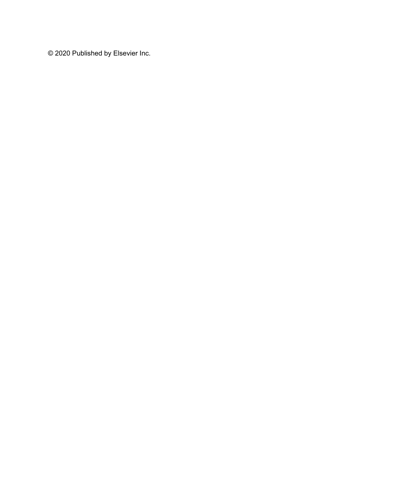© 2020 Published by Elsevier Inc.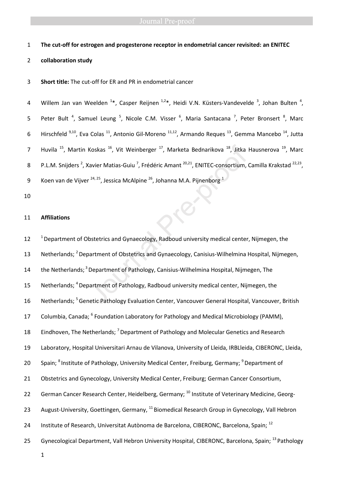### 1 **The cut-off for estrogen and progesterone receptor in endometrial cancer revisited: an ENITEC**

### 2 **collaboration study**

3 **Short title:** The cut-off for ER and PR in endometrial cancer

4 Millem Jan van Weelden  $^{1*}$ , Casper Reijnen  $^{1,2*}$ , Heidi V.N. Küsters-Vandevelde  $^3$ , Johan Bulten  $^4$ , 5 Peter Bult<sup>4</sup>, Samuel Leung<sup>5</sup>, Nicole C.M. Visser<sup>6</sup>, Maria Santacana<sup>7</sup>, Peter Bronsert<sup>8</sup>, Marc 6 Hirschfeld  $9,10$ , Eva Colas  $^{11}$ , Antonio Gil-Moreno  $^{11,12}$ , Armando Reques  $^{13}$ , Gemma Mancebo  $^{14}$ , Jutta 7 Huvila <sup>15</sup>, Martin Koskas <sup>16</sup>, Vit Weinberger <sup>17</sup>, Marketa Bednarikova <sup>18</sup>, Jitka Hausnerova <sup>19</sup>, Marc 8 P.L.M. Snijders<sup>2</sup>, Xavier Matias-Guiu<sup>7</sup>, Frédéric Amant<sup>20,21</sup>, ENITEC-consortium, Camilla Krakstad<sup>22,23</sup>, Koen van de Vijver  $24, 25$ , Jessica McAlpine  $26$ , Johanna M.A. Pijnenborg  $1$ 

10

### 11 **Affiliations**

12 <sup>1</sup> Department of Obstetrics and Gynaecology, Radboud university medical center, Nijmegen, the 13 Netherlands; <sup>2</sup> Department of Obstetrics and Gynaecology, Canisius-Wilhelmina Hospital, Nijmegen, 14 the Netherlands;<sup>3</sup> Department of Pathology, Canisius-Wilhelmina Hospital, Nijmegen, The 15 Netherlands; <sup>4</sup> Department of Pathology, Radboud university medical center, Nijmegen, the 16 Netherlands; <sup>5</sup> Genetic Pathology Evaluation Center, Vancouver General Hospital, Vancouver, British 17 Columbia, Canada; <sup>6</sup> Foundation Laboratory for Pathology and Medical Microbiology (PAMM), 18 Eindhoven, The Netherlands; <sup>7</sup> Department of Pathology and Molecular Genetics and Research 19 Laboratory, Hospital Universitari Arnau de Vilanova, University of Lleida, IRBLleida, CIBERONC, Lleida, 20 Spain; <sup>8</sup> Institute of Pathology, University Medical Center, Freiburg, Germany; <sup>9</sup> Department of 21 Obstetrics and Gynecology, University Medical Center, Freiburg; German Cancer Consortium, 22 German Cancer Research Center, Heidelberg, Germany; <sup>10</sup> Institute of Veterinary Medicine, Georg-23 August-University, Goettingen, Germany, <sup>11</sup> Biomedical Research Group in Gynecology, Vall Hebron 24 Institute of Research, Universitat Autònoma de Barcelona, CIBERONC, Barcelona, Spain; <sup>12</sup> 25 Gynecological Department, Vall Hebron University Hospital, CIBERONC, Barcelona, Spain; <sup>13</sup> Pathology Koskas <sup>16</sup>, Vit Weinberger <sup>17</sup>, Marketa Bednarikova <sup>18</sup>, Jitka<br>(avier Matias-Guiu <sup>7</sup>, Frédéric Amant <sup>20,21</sup>, ENITEC-consortium, 1<br><sup>24,25</sup>, Jessica McAlpine <sup>26</sup>, Johanna M.A. Pijnenborg <sup>1</sup><br>bstetrics and Gynaecology,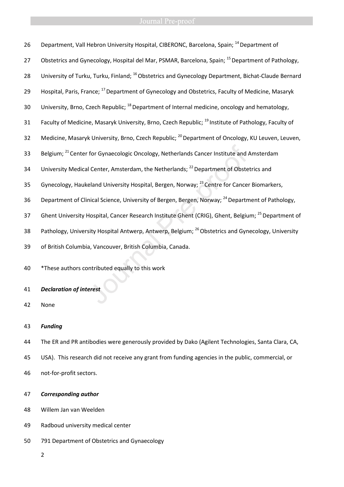| 26 | Department, Vall Hebron University Hospital, CIBERONC, Barcelona, Spain; <sup>14</sup> Department of            |
|----|-----------------------------------------------------------------------------------------------------------------|
| 27 | Obstetrics and Gynecology, Hospital del Mar, PSMAR, Barcelona, Spain; <sup>15</sup> Department of Pathology,    |
| 28 | University of Turku, Turku, Finland; <sup>16</sup> Obstetrics and Gynecology Department, Bichat-Claude Bernard  |
| 29 | Hospital, Paris, France; <sup>17</sup> Department of Gynecology and Obstetrics, Faculty of Medicine, Masaryk    |
| 30 | University, Brno, Czech Republic; <sup>18</sup> Department of Internal medicine, oncology and hematology,       |
| 31 | Faculty of Medicine, Masaryk University, Brno, Czech Republic; <sup>19</sup> Institute of Pathology, Faculty of |
| 32 | Medicine, Masaryk University, Brno, Czech Republic; <sup>20</sup> Department of Oncology, KU Leuven, Leuven,    |
| 33 | Belgium; <sup>21</sup> Center for Gynaecologic Oncology, Netherlands Cancer Institute and Amsterdam             |
| 34 | University Medical Center, Amsterdam, the Netherlands; <sup>22</sup> Department of Obstetrics and               |
| 35 | Gynecology, Haukeland University Hospital, Bergen, Norway; <sup>23</sup> Centre for Cancer Biomarkers,          |
| 36 | Department of Clinical Science, University of Bergen, Bergen, Norway; <sup>24</sup> Department of Pathology,    |
| 37 | Ghent University Hospital, Cancer Research Institute Ghent (CRIG), Ghent, Belgium; <sup>25</sup> Department of  |
| 38 | Pathology, University Hospital Antwerp, Antwerp, Belgium; <sup>26</sup> Obstetrics and Gynecology, University   |
| 39 | of British Columbia, Vancouver, British Columbia, Canada.                                                       |
| 40 | *These authors contributed equally to this work                                                                 |
| 41 | <b>Declaration of interest</b>                                                                                  |
|    | <b>Nono</b>                                                                                                     |

## 41 *Declaration of interest*

42 None

### 43 *Funding*

44 The ER and PR antibodies were generously provided by Dako (Agilent Technologies, Santa Clara, CA,

- 45 USA). This research did not receive any grant from funding agencies in the public, commercial, or
- 46 not-for-profit sectors.
- 47 *Corresponding author*
- 48 Willem Jan van Weelden
- 49 Radboud university medical center
- 50 791 Department of Obstetrics and Gynaecology
	- 2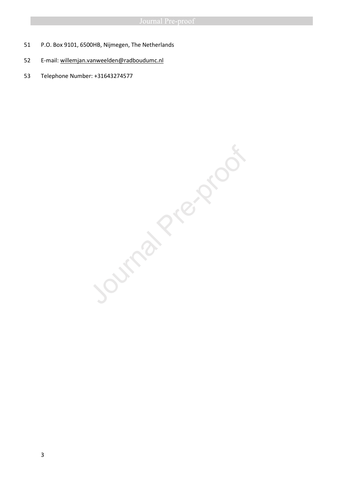- 51 P.O. Box 9101, 6500HB, Nijmegen, The Netherlands
- 52 E-mail: willemjan.vanweelden@radboudumc.nl
- 53 Telephone Number: +31643274577

Ournal Pre-proof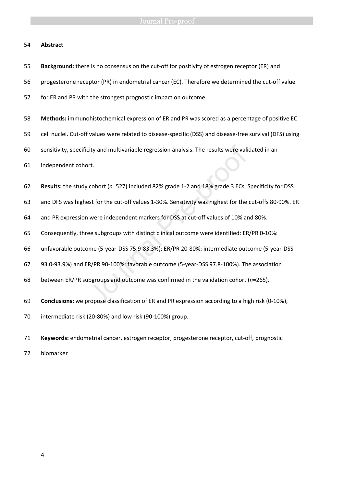### 54 **Abstract**

- 55 **Background:** there is no consensus on the cut-off for positivity of estrogen receptor (ER) and 56 progesterone receptor (PR) in endometrial cancer (EC). Therefore we determined the cut-off value 57 for ER and PR with the strongest prognostic impact on outcome. 58 **Methods:** immunohistochemical expression of ER and PR was scored as a percentage of positive EC 59 cell nuclei. Cut-off values were related to disease-specific (DSS) and disease-free survival (DFS) using 60 sensitivity, specificity and multivariable regression analysis. The results were validated in an 61 independent cohort. 62 **Results:** the study cohort (*n*=527) included 82% grade 1-2 and 18% grade 3 ECs. Specificity for DSS 63 and DFS was highest for the cut-off values 1-30%. Sensitivity was highest for the cut-offs 80-90%. ER 64 and PR expression were independent markers for DSS at cut-off values of 10% and 80%. 65 Consequently, three subgroups with distinct clinical outcome were identified: ER/PR 0-10%: 66 unfavorable outcome (5-year-DSS 75.9-83.3%); ER/PR 20-80%: intermediate outcome (5-year-DSS 67 93.0-93.9%) and ER/PR 90-100%: favorable outcome (5-year-DSS 97.8-100%). The association 68 between ER/PR subgroups and outcome was confirmed in the validation cohort (*n*=265). 69 **Conclusions:** we propose classification of ER and PR expression according to a high risk (0-10%), 70 intermediate risk (20-80%) and low risk (90-100%) group. 71 **Keywords:** endometrial cancer, estrogen receptor, progesterone receptor, cut-off, prognostic ity and multivariable regression analysis. The results were valient.<br>
Int.<br>
1997 The contort (n=527) included 82% grade 1-2 and 18% grade 3 ECs.<br>
1998 Sest for the cut-off values 1-30%. Sensitivity was highest for the<br>
199
- 72 biomarker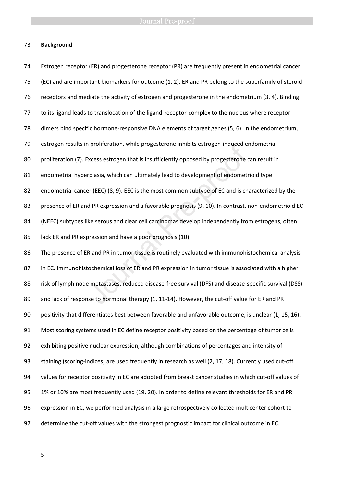## 73 **Background**

| 74 | Estrogen receptor (ER) and progesterone receptor (PR) are frequently present in endometrial cancer     |
|----|--------------------------------------------------------------------------------------------------------|
| 75 | (EC) and are important biomarkers for outcome (1, 2). ER and PR belong to the superfamily of steroid   |
| 76 | receptors and mediate the activity of estrogen and progesterone in the endometrium (3, 4). Binding     |
| 77 | to its ligand leads to translocation of the ligand-receptor-complex to the nucleus where receptor      |
| 78 | dimers bind specific hormone-responsive DNA elements of target genes (5, 6). In the endometrium,       |
| 79 | estrogen results in proliferation, while progesterone inhibits estrogen-induced endometrial            |
| 80 | proliferation (7). Excess estrogen that is insufficiently opposed by progesterone can result in        |
| 81 | endometrial hyperplasia, which can ultimately lead to development of endometrioid type                 |
| 82 | endometrial cancer (EEC) (8, 9). EEC is the most common subtype of EC and is characterized by the      |
| 83 | presence of ER and PR expression and a favorable prognosis (9, 10). In contrast, non-endometrioid EC   |
| 84 | (NEEC) subtypes like serous and clear cell carcinomas develop independently from estrogens, often      |
| 85 | lack ER and PR expression and have a poor prognosis (10).                                              |
| 86 | The presence of ER and PR in tumor tissue is routinely evaluated with immunohistochemical analysis     |
| 87 | in EC. Immunohistochemical loss of ER and PR expression in tumor tissue is associated with a higher    |
| 88 | risk of lymph node metastases, reduced disease-free survival (DFS) and disease-specific survival (DSS) |
| 89 | and lack of response to hormonal therapy (1, 11-14). However, the cut-off value for ER and PR          |
| 90 | positivity that differentiates best between favorable and unfavorable outcome, is unclear (1, 15, 16). |
| 91 | Most scoring systems used in EC define receptor positivity based on the percentage of tumor cells      |
| 92 | exhibiting positive nuclear expression, although combinations of percentages and intensity of          |
| 93 | staining (scoring-indices) are used frequently in research as well (2, 17, 18). Currently used cut-off |
| 94 | values for receptor positivity in EC are adopted from breast cancer studies in which cut-off values of |
| 95 | 1% or 10% are most frequently used (19, 20). In order to define relevant thresholds for ER and PR      |
| 96 | expression in EC, we performed analysis in a large retrospectively collected multicenter cohort to     |
| 97 | determine the cut-off values with the strongest prognostic impact for clinical outcome in EC.          |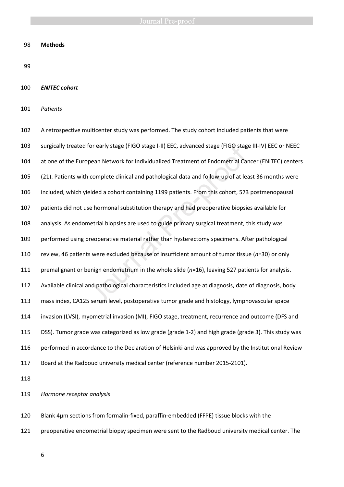### 98 **Methods**

99

### 100 *ENITEC cohort*

101 *Patients* 

102 A retrospective multicenter study was performed. The study cohort included patients that were 103 surgically treated for early stage (FIGO stage I-II) EEC, advanced stage (FIGO stage III-IV) EEC or NEEC 104 at one of the European Network for Individualized Treatment of Endometrial Cancer (ENITEC) centers 105 (21). Patients with complete clinical and pathological data and follow-up of at least 36 months were 106 included, which yielded a cohort containing 1199 patients. From this cohort, 573 postmenopausal 107 patients did not use hormonal substitution therapy and had preoperative biopsies available for 108 analysis. As endometrial biopsies are used to guide primary surgical treatment, this study was 109 performed using preoperative material rather than hysterectomy specimens. After pathological 110 review, 46 patients were excluded because of insufficient amount of tumor tissue (*n*=30) or only 111 premalignant or benign endometrium in the whole slide (*n*=16), leaving 527 patients for analysis. 112 Available clinical and pathological characteristics included age at diagnosis, date of diagnosis, body 113 mass index, CA125 serum level, postoperative tumor grade and histology, lymphovascular space 114 invasion (LVSI), myometrial invasion (MI), FIGO stage, treatment, recurrence and outcome (DFS and 115 DSS). Tumor grade was categorized as low grade (grade 1-2) and high grade (grade 3). This study was 116 performed in accordance to the Declaration of Helsinki and was approved by the Institutional Review 117 Board at the Radboud university medical center (reference number 2015-2101). for early stage (FIGO stage I-II) EEC, advanced stage (FIGO stage<br>pean Network for Individualized Treatment of Endometrial Car<br>complete clinical and pathological data and follow-up of at lea<br>elded a cohort containing 1199

118

119 *Hormone receptor analysis* 

120 Blank 4µm sections from formalin-fixed, paraffin-embedded (FFPE) tissue blocks with the

121 preoperative endometrial biopsy specimen were sent to the Radboud university medical center. The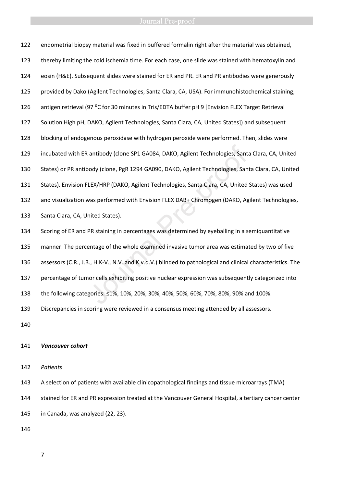122 endometrial biopsy material was fixed in buffered formalin right after the material was obtained, 123 thereby limiting the cold ischemia time. For each case, one slide was stained with hematoxylin and 124 eosin (H&E). Subsequent slides were stained for ER and PR. ER and PR antibodies were generously 125 provided by Dako (Agilent Technologies, Santa Clara, CA, USA). For immunohistochemical staining, 126 antigen retrieval (97 °C for 30 minutes in Tris/EDTA buffer pH 9 [Envision FLEX Target Retrieval 127 Solution High pH, DAKO, Agilent Technologies, Santa Clara, CA, United States]) and subsequent 128 blocking of endogenous peroxidase with hydrogen peroxide were performed. Then, slides were 129 incubated with ER antibody (clone SP1 GA084, DAKO, Agilent Technologies, Santa Clara, CA, United 130 States) or PR antibody (clone, PgR 1294 GA090, DAKO, Agilent Technologies, Santa Clara, CA, United 131 States). Envision FLEX/HRP (DAKO, Agilent Technologies, Santa Clara, CA, United States) was used 132 and visualization was performed with Envision FLEX DAB+ Chromogen (DAKO, Agilent Technologies, 133 Santa Clara, CA, United States). 134 Scoring of ER and PR staining in percentages was determined by eyeballing in a semiquantitative 135 manner. The percentage of the whole examined invasive tumor area was estimated by two of five 136 assessors (C.R., J.B., H.K-V., N.V. and K.v.d.V.) blinded to pathological and clinical characteristics. The 137 percentage of tumor cells exhibiting positive nuclear expression was subsequently categorized into 138 the following categories: ≤1%, 10%, 20%, 30%, 40%, 50%, 60%, 70%, 80%, 90% and 100%. 139 Discrepancies in scoring were reviewed in a consensus meeting attended by all assessors. 140 antibody (clone SP1 GA084, DAKO, Agilent Technologies, Sant<br>
oody (clone, PgR 1294 GA090, DAKO, Agilent Technologies, Sant<br>
LEX/HRP (DAKO, Agilent Technologies, Santa Clara, CA, United<br>
vas performed with Envision FLEX DAB

### 141 *Vancouver cohort*

142 *Patients* 

143 A selection of patients with available clinicopathological findings and tissue microarrays (TMA) 144 stained for ER and PR expression treated at the Vancouver General Hospital, a tertiary cancer center 145 in Canada, was analyzed (22, 23).

146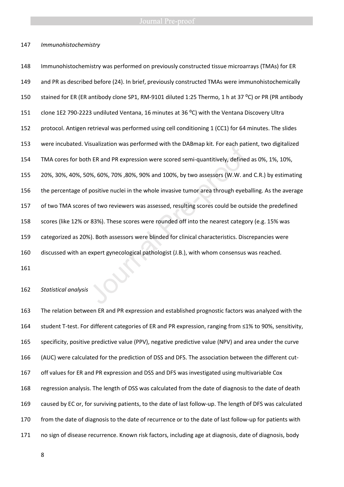### 147 *Immunohistochemistry*

148 Immunohistochemistry was performed on previously constructed tissue microarrays (TMAs) for ER 149 and PR as described before (24). In brief, previously constructed TMAs were immunohistochemically 150 stained for ER (ER antibody clone SP1, RM-9101 diluted 1:25 Thermo, 1 h at 37 °C) or PR (PR antibody 151 clone 1E2 790-2223 undiluted Ventana, 16 minutes at 36 °C) with the Ventana Discovery Ultra 152 protocol. Antigen retrieval was performed using cell conditioning 1 (CC1) for 64 minutes. The slides 153 were incubated. Visualization was performed with the DABmap kit. For each patient, two digitalized 154 TMA cores for both ER and PR expression were scored semi-quantitively, defined as 0%, 1%, 10%, 155 20%, 30%, 40%, 50%, 60%, 70% ,80%, 90% and 100%, by two assessors (W.W. and C.R.) by estimating 156 the percentage of positive nuclei in the whole invasive tumor area through eyeballing. As the average 157 of two TMA scores of two reviewers was assessed, resulting scores could be outside the predefined 158 scores (like 12% or 83%). These scores were rounded off into the nearest category (e.g. 15% was 159 categorized as 20%). Both assessors were blinded for clinical characteristics. Discrepancies were 160 discussed with an expert gynecological pathologist (J.B.), with whom consensus was reached. Isualization was performed with the DABMap Kit. For each path<br>The ER and PR expression were scored semi-quantitively, defined<br>19%, 60%, 70%, 80%, 90% and 100%, by two assessors (W.W. an<br>positive nuclei in the whole invasiv

161

### 162 *Statistical analysis*

163 The relation between ER and PR expression and established prognostic factors was analyzed with the 164 student T-test. For different categories of ER and PR expression, ranging from ≤1% to 90%, sensitivity, 165 specificity, positive predictive value (PPV), negative predictive value (NPV) and area under the curve 166 (AUC) were calculated for the prediction of DSS and DFS. The association between the different cut-167 off values for ER and PR expression and DSS and DFS was investigated using multivariable Cox 168 regression analysis. The length of DSS was calculated from the date of diagnosis to the date of death 169 caused by EC or, for surviving patients, to the date of last follow-up. The length of DFS was calculated 170 from the date of diagnosis to the date of recurrence or to the date of last follow-up for patients with 171 no sign of disease recurrence. Known risk factors, including age at diagnosis, date of diagnosis, body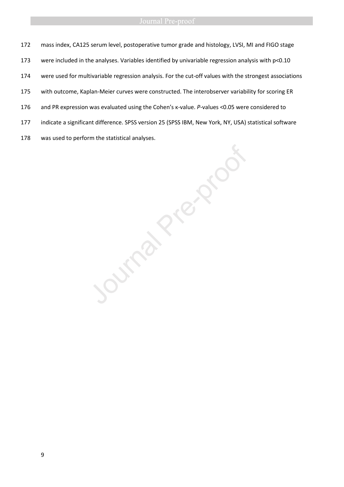172 mass index, CA125 serum level, postoperative tumor grade and histology, LVSI, MI and FIGO stage

173 were included in the analyses. Variables identified by univariable regression analysis with p<0.10

- 174 were used for multivariable regression analysis. For the cut-off values with the strongest associations
- 175 with outcome, Kaplan-Meier curves were constructed. The interobserver variability for scoring ER
- 176 and PR expression was evaluated using the Cohen's K-value. *P*-values <0.05 were considered to
- 177 indicate a significant difference. SPSS version 25 (SPSS IBM, New York, NY, USA) statistical software
- 178 was used to perform the statistical analyses.

J. Trape-proof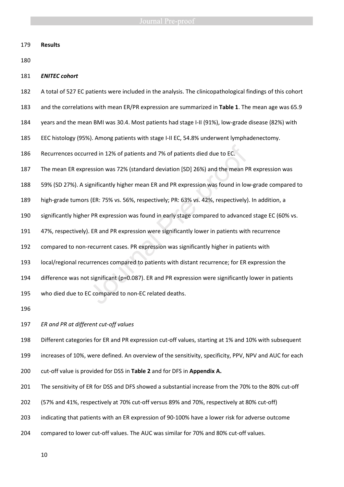### 179 **Results**

180

- 181 *ENITEC cohort*
- 182 A total of 527 EC patients were included in the analysis. The clinicopathological findings of this cohort
- 183 and the correlations with mean ER/PR expression are summarized in **Table 1**. The mean age was 65.9
- 184 years and the mean BMI was 30.4. Most patients had stage I-II (91%), low-grade disease (82%) with
- 185 EEC histology (95%). Among patients with stage I-II EC, 54.8% underwent lymphadenectomy.
- 186 Recurrences occurred in 12% of patients and 7% of patients died due to EC.
- 187 The mean ER expression was 72% (standard deviation [SD] 26%) and the mean PR expression was
- 188 59% (SD 27%). A significantly higher mean ER and PR expression was found in low-grade compared to
- 189 high-grade tumors (ER: 75% vs. 56%, respectively; PR: 63% vs. 42%, respectively). In addition, a
- 190 significantly higher PR expression was found in early stage compared to advanced stage EC (60% vs.
- 191 47%, respectively). ER and PR expression were significantly lower in patients with recurrence
- 192 compared to non-recurrent cases. PR expression was significantly higher in patients with red in 12% of patients and 7% of patients died due to EC.<br>ession was 72% (standard deviation [SD] 26%) and the mean Pl<br>ignificantly higher mean ER and PR expression was found in lov<br>is (ER: 75% vs. 56%, respectively; PR: 6
- 193 local/regional recurrences compared to patients with distant recurrence; for ER expression the
- 194 difference was not significant (p=0.087). ER and PR expression were significantly lower in patients
- 195 who died due to EC compared to non-EC related deaths.

196

197 *ER and PR at different cut-off values* 

198 Different categories for ER and PR expression cut-off values, starting at 1% and 10% with subsequent

- 199 increases of 10%, were defined. An overview of the sensitivity, specificity, PPV, NPV and AUC for each
- 200 cut-off value is provided for DSS in **Table 2** and for DFS in **Appendix A.**
- 201 The sensitivity of ER for DSS and DFS showed a substantial increase from the 70% to the 80% cut-off
- 202 (57% and 41%, respectively at 70% cut-off versus 89% and 70%, respectively at 80% cut-off)
- 203 indicating that patients with an ER expression of 90-100% have a lower risk for adverse outcome
- 204 compared to lower cut-off values. The AUC was similar for 70% and 80% cut-off values.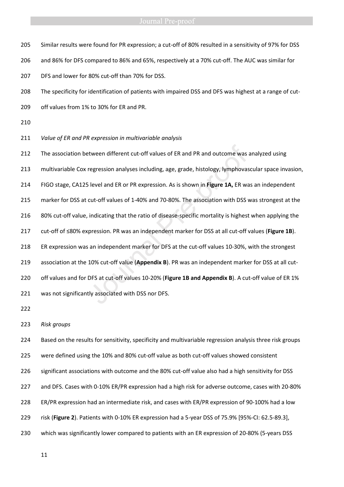- 205 Similar results were found for PR expression; a cut-off of 80% resulted in a sensitivity of 97% for DSS
- 206 and 86% for DFS compared to 86% and 65%, respectively at a 70% cut-off. The AUC was similar for

207 DFS and lower for 80% cut-off than 70% for DSS.

208 The specificity for identification of patients with impaired DSS and DFS was highest at a range of cut-

- 209 off values from 1% to 30% for ER and PR.
- 210
- 211 *Value of ER and PR expression in multivariable analysis*

212 The association between different cut-off values of ER and PR and outcome was analyzed using 213 multivariable Cox regression analyses including, age, grade, histology, lymphovascular space invasion, 214 FIGO stage, CA125 level and ER or PR expression. As is shown in **Figure 1A,** ER was an independent 215 marker for DSS at cut-off values of 1-40% and 70-80%. The association with DSS was strongest at the 216 80% cut-off value, indicating that the ratio of disease-specific mortality is highest when applying the 217 cut-off of ≤80% expression. PR was an independent marker for DSS at all cut-off values (**Figure 1B**). 218 ER expression was an independent marker for DFS at the cut-off values 10-30%, with the strongest 219 association at the 10% cut-off value (**Appendix B**). PR was an independent marker for DSS at all cut-220 off values and for DFS at cut-off values 10-20% (**Figure 1B and Appendix B**). A cut-off value of ER 1% 221 was not significantly associated with DSS nor DFS. etween different cut-off values of ER and PR and outcome was<br>regression analyses including, age, grade, histology, lymphovas<br>i level and ER or PR expression. As is shown in **Figure 1A**, ER wa<br>cut-off values of 1-40% and 70

222

223 *Risk groups*

224 Based on the results for sensitivity, specificity and multivariable regression analysis three risk groups 225 were defined using the 10% and 80% cut-off value as both cut-off values showed consistent 226 significant associations with outcome and the 80% cut-off value also had a high sensitivity for DSS 227 and DFS. Cases with 0-10% ER/PR expression had a high risk for adverse outcome, cases with 20-80% 228 ER/PR expression had an intermediate risk, and cases with ER/PR expression of 90-100% had a low 229 risk (**Figure 2**). Patients with 0-10% ER expression had a 5-year DSS of 75.9% [95%-CI: 62.5-89.3], 230 which was significantly lower compared to patients with an ER expression of 20-80% (5-years DSS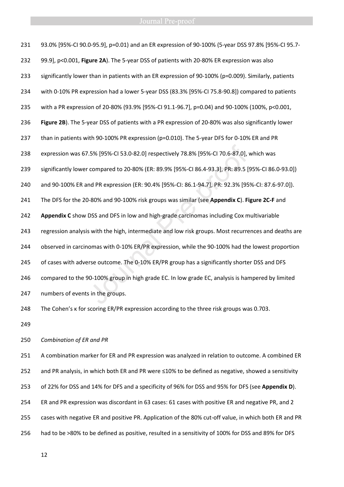| 231 | 93.0% [95%-CI 90.0-95.9], p=0.01) and an ER expression of 90-100% (5-year DSS 97.8% [95%-CI 95.7-       |
|-----|---------------------------------------------------------------------------------------------------------|
| 232 | 99.9], p<0.001, Figure 2A). The 5-year DSS of patients with 20-80% ER expression was also               |
| 233 | significantly lower than in patients with an ER expression of $90-100\%$ (p=0.009). Similarly, patients |
| 234 | with 0-10% PR expression had a lower 5-year DSS (83.3% [95%-CI 75.8-90.8]) compared to patients         |
| 235 | with a PR expression of 20-80% (93.9% [95%-CI 91.1-96.7], p=0.04) and 90-100% (100%, p<0.001,           |
| 236 | Figure 2B). The 5-year DSS of patients with a PR expression of 20-80% was also significantly lower      |
| 237 | than in patients with 90-100% PR expression (p=0.010). The 5-year DFS for 0-10% ER and PR               |
| 238 | expression was 67.5% [95%-CI 53.0-82.0] respectively 78.8% [95%-CI 70.6-87.0], which was                |
| 239 | significantly lower compared to 20-80% (ER: 89.9% [95%-CI 86.4-93.3], PR: 89.5 [95%-CI 86.0-93.0])      |
| 240 | and 90-100% ER and PR expression (ER: 90.4% [95%-CI: 86.1-94.7], PR: 92.3% [95%-CI: 87.6-97.0]).        |
| 241 | The DFS for the 20-80% and 90-100% risk groups was similar (see Appendix C). Figure 2C-F and            |
| 242 | Appendix C show DSS and DFS in low and high-grade carcinomas including Cox multivariable                |
| 243 | regression analysis with the high, intermediate and low risk groups. Most recurrences and deaths are    |
| 244 | observed in carcinomas with 0-10% ER/PR expression, while the 90-100% had the lowest proportion         |
| 245 | of cases with adverse outcome. The 0-10% ER/PR group has a significantly shorter DSS and DFS            |
| 246 | compared to the 90-100% group in high grade EC. In low grade EC, analysis is hampered by limited        |
| 247 | numbers of events in the groups.                                                                        |
|     |                                                                                                         |

248 The Cohen's κ for scoring ER/PR expression according to the three risk groups was 0.703.

249

250 *Combination of ER and PR*

251 A combination marker for ER and PR expression was analyzed in relation to outcome. A combined ER 252 and PR analysis, in which both ER and PR were ≤10% to be defined as negative, showed a sensitivity 253 of 22% for DSS and 14% for DFS and a specificity of 96% for DSS and 95% for DFS (see **Appendix D**). 254 ER and PR expression was discordant in 63 cases: 61 cases with positive ER and negative PR, and 2 255 cases with negative ER and positive PR. Application of the 80% cut-off value, in which both ER and PR 256 had to be >80% to be defined as positive, resulted in a sensitivity of 100% for DSS and 89% for DFS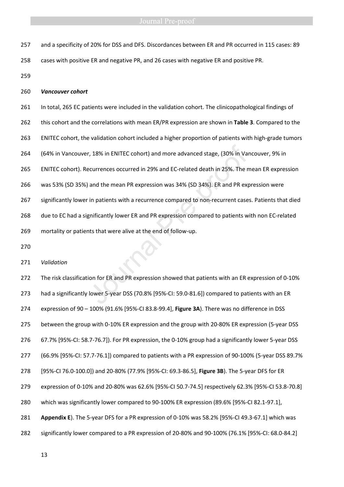257 and a specificity of 20% for DSS and DFS. Discordances between ER and PR occurred in 115 cases: 89

258 cases with positive ER and negative PR, and 26 cases with negative ER and positive PR.

259

### 260 *Vancouver cohort*

261 In total, 265 EC patients were included in the validation cohort. The clinicopathological findings of 262 this cohort and the correlations with mean ER/PR expression are shown in **Table 3**. Compared to the 263 ENITEC cohort, the validation cohort included a higher proportion of patients with high-grade tumors 264 (64% in Vancouver, 18% in ENITEC cohort) and more advanced stage, (30% in Vancouver, 9% in 265 ENITEC cohort). Recurrences occurred in 29% and EC-related death in 25%. The mean ER expression 266 was 53% (SD 35%) and the mean PR expression was 34% (SD 34%). ER and PR expression were 267 significantly lower in patients with a recurrence compared to non-recurrent cases. Patients that died 268 due to EC had a significantly lower ER and PR expression compared to patients with non EC-related 269 mortality or patients that were alive at the end of follow-up. r, 18% in ENITEC cohort) and more advanced stage, (30% in Vare<br>
ecurrences occurred in 29% and EC-related death in 25%. The r<br>
and the mean PR expression was 34% (SD 34%). ER and PR expression<br>
in patients with a recurrenc

270

271 *Validation*

272 The risk classification for ER and PR expression showed that patients with an ER expression of 0-10% 273 had a significantly lower 5-year DSS (70.8% [95%-CI: 59.0-81.6]) compared to patients with an ER 274 expression of 90 – 100% (91.6% [95%-CI 83.8-99.4], **Figure 3A**). There was no difference in DSS 275 between the group with 0-10% ER expression and the group with 20-80% ER expression (5-year DSS 276 67.7% [95%-CI: 58.7-76.7]). For PR expression, the 0-10% group had a significantly lower 5-year DSS 277 (66.9% [95%-CI: 57.7-76.1]) compared to patients with a PR expression of 90-100% (5-year DSS 89.7% 278 [95%-CI 76.0-100.0]) and 20-80% (77.9% [95%-CI: 69.3-86.5], **Figure 3B**). The 5-year DFS for ER 279 expression of 0-10% and 20-80% was 62.6% [95%-CI 50.7-74.5] respectively 62.3% [95%-CI 53.8-70.8] 280 which was significantly lower compared to 90-100% ER expression (89.6% [95%-CI 82.1-97.1], 281 **Appendix E**). The 5-year DFS for a PR expression of 0-10% was 58.2% [95%-CI 49.3-67.1] which was 282 significantly lower compared to a PR expression of 20-80% and 90-100% (76.1% [95%-CI: 68.0-84.2]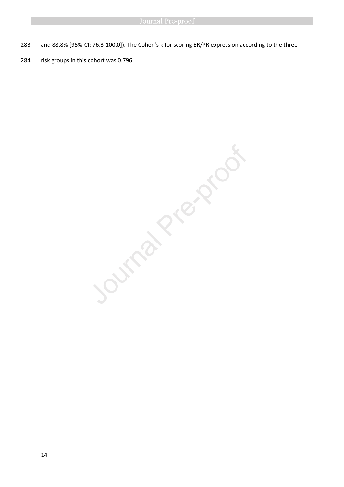- 283 and 88.8% [95%-CI: 76.3-100.0]). The Cohen's κ for scoring ER/PR expression according to the three
- 284 risk groups in this cohort was 0.796.

Ournal Pre-proof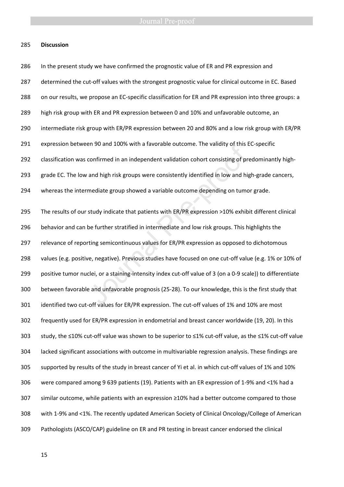### 285 **Discussion**

286 In the present study we have confirmed the prognostic value of ER and PR expression and 287 determined the cut-off values with the strongest prognostic value for clinical outcome in EC. Based 288 on our results, we propose an EC-specific classification for ER and PR expression into three groups: a 289 high risk group with ER and PR expression between 0 and 10% and unfavorable outcome, an 290 intermediate risk group with ER/PR expression between 20 and 80% and a low risk group with ER/PR 291 expression between 90 and 100% with a favorable outcome. The validity of this EC-specific 292 classification was confirmed in an independent validation cohort consisting of predominantly high-293 grade EC. The low and high risk groups were consistently identified in low and high-grade cancers, 294 whereas the intermediate group showed a variable outcome depending on tumor grade. 295 The results of our study indicate that patients with ER/PR expression >10% exhibit different clinical 296 behavior and can be further stratified in intermediate and low risk groups. This highlights the 297 relevance of reporting semicontinuous values for ER/PR expression as opposed to dichotomous 298 values (e.g. positive, negative). Previous studies have focused on one cut-off value (e.g. 1% or 10% of 299 positive tumor nuclei, or a staining-intensity index cut-off value of 3 (on a 0-9 scale)) to differentiate 300 between favorable and unfavorable prognosis (25-28). To our knowledge, this is the first study that 301 identified two cut-off values for ER/PR expression. The cut-off values of 1% and 10% are most 302 frequently used for ER/PR expression in endometrial and breast cancer worldwide (19, 20). In this 303 study, the ≤10% cut-off value was shown to be superior to ≤1% cut-off value, as the ≤1% cut-off value 304 lacked significant associations with outcome in multivariable regression analysis. These findings are 305 supported by results of the study in breast cancer of Yi et al. in which cut-off values of 1% and 10% 306 were compared among 9 639 patients (19). Patients with an ER expression of 1-9% and <1% had a 307 similar outcome, while patients with an expression ≥10% had a better outcome compared to those 308 with 1-9% and <1%. The recently updated American Society of Clinical Oncology/College of American 309 Pathologists (ASCO/CAP) guideline on ER and PR testing in breast cancer endorsed the clinical En 50 and 100% with a favorable outcome. The valluly of this is<br>confirmed in an independent validation cohort consisting of pr<br>and high risk groups were consistently identified in low and hi<sub>l</sub><br>mediate group showed a varia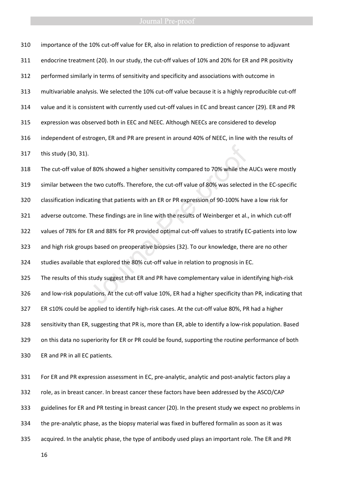310 importance of the 10% cut-off value for ER, also in relation to prediction of response to adjuvant 311 endocrine treatment (20). In our study, the cut-off values of 10% and 20% for ER and PR positivity 312 performed similarly in terms of sensitivity and specificity and associations with outcome in 313 multivariable analysis. We selected the 10% cut-off value because it is a highly reproducible cut-off 314 value and it is consistent with currently used cut-off values in EC and breast cancer (29). ER and PR 315 expression was observed both in EEC and NEEC. Although NEECs are considered to develop 316 independent of estrogen, ER and PR are present in around 40% of NEEC, in line with the results of 317 this study (30, 31).

318 The cut-off value of 80% showed a higher sensitivity compared to 70% while the AUCs were mostly 319 similar between the two cutoffs. Therefore, the cut-off value of 80% was selected in the EC-specific 320 classification indicating that patients with an ER or PR expression of 90-100% have a low risk for 321 adverse outcome. These findings are in line with the results of Weinberger et al., in which cut-off 322 values of 78% for ER and 88% for PR provided optimal cut-off values to stratify EC-patients into low 323 and high risk groups based on preoperative biopsies (32). To our knowledge, there are no other 324 studies available that explored the 80% cut-off value in relation to prognosis in EC. 325 The results of this study suggest that ER and PR have complementary value in identifying high-risk 326 and low-risk populations. At the cut-off value 10%, ER had a higher specificity than PR, indicating that 327 ER ≤10% could be applied to identify high-risk cases. At the cut-off value 80%, PR had a higher 328 sensitivity than ER, suggesting that PR is, more than ER, able to identify a low-risk population. Based 329 on this data no superiority for ER or PR could be found, supporting the routine performance of both 330 ER and PR in all EC patients. The state of 80% showed a higher sensitivity compared to 70% while the<br>ne two cutoffs. Therefore, the cut-off value of 80% was selected<br>ating that patients with an ER or PR expression of 90-100% have<br>These findings are in

331 For ER and PR expression assessment in EC, pre-analytic, analytic and post-analytic factors play a 332 role, as in breast cancer. In breast cancer these factors have been addressed by the ASCO/CAP 333 guidelines for ER and PR testing in breast cancer (20). In the present study we expect no problems in 334 the pre-analytic phase, as the biopsy material was fixed in buffered formalin as soon as it was 335 acquired. In the analytic phase, the type of antibody used plays an important role. The ER and PR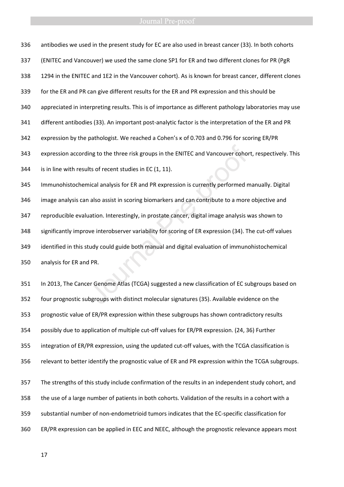336 antibodies we used in the present study for EC are also used in breast cancer (33). In both cohorts 337 (ENITEC and Vancouver) we used the same clone SP1 for ER and two different clones for PR (PgR 338 1294 in the ENITEC and 1E2 in the Vancouver cohort). As is known for breast cancer, different clones 339 for the ER and PR can give different results for the ER and PR expression and this should be 340 appreciated in interpreting results. This is of importance as different pathology laboratories may use 341 different antibodies (33). An important post-analytic factor is the interpretation of the ER and PR 342 expression by the pathologist. We reached a Cohen's κ of 0.703 and 0.796 for scoring ER/PR 343 expression according to the three risk groups in the ENITEC and Vancouver cohort, respectively. This 344 is in line with results of recent studies in EC (1, 11).

345 Immunohistochemical analysis for ER and PR expression is currently performed manually. Digital 346 image analysis can also assist in scoring biomarkers and can contribute to a more objective and 347 reproducible evaluation. Interestingly, in prostate cancer, digital image analysis was shown to 348 significantly improve interobserver variability for scoring of ER expression (34). The cut-off values 349 identified in this study could guide both manual and digital evaluation of immunohistochemical 350 analysis for ER and PR. ing to the three risk groups in the ENITEC and Vancouver cohor<br>Its of recent studies in EC (1, 11).<br>Inical analysis for ER and PR expression is currently performed n<br>also assist in scoring biomarkers and can contribute to

351 In 2013, The Cancer Genome Atlas (TCGA) suggested a new classification of EC subgroups based on 352 four prognostic subgroups with distinct molecular signatures (35). Available evidence on the 353 prognostic value of ER/PR expression within these subgroups has shown contradictory results 354 possibly due to application of multiple cut-off values for ER/PR expression. (24, 36) Further 355 integration of ER/PR expression, using the updated cut-off values, with the TCGA classification is 356 relevant to better identify the prognostic value of ER and PR expression within the TCGA subgroups. 357 The strengths of this study include confirmation of the results in an independent study cohort, and 358 the use of a large number of patients in both cohorts. Validation of the results in a cohort with a 359 substantial number of non-endometrioid tumors indicates that the EC-specific classification for 360 ER/PR expression can be applied in EEC and NEEC, although the prognostic relevance appears most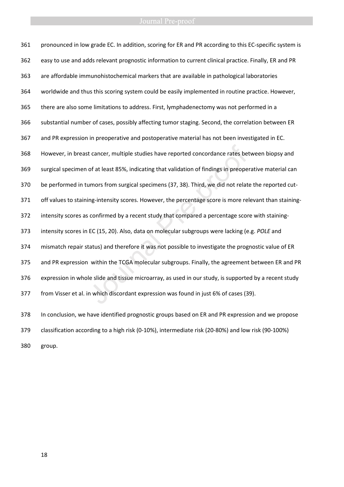361 pronounced in low grade EC. In addition, scoring for ER and PR according to this EC-specific system is 362 easy to use and adds relevant prognostic information to current clinical practice. Finally, ER and PR 363 are affordable immunohistochemical markers that are available in pathological laboratories 364 worldwide and thus this scoring system could be easily implemented in routine practice. However, 365 there are also some limitations to address. First, lymphadenectomy was not performed in a 366 substantial number of cases, possibly affecting tumor staging. Second, the correlation between ER 367 and PR expression in preoperative and postoperative material has not been investigated in EC. 368 However, in breast cancer, multiple studies have reported concordance rates between biopsy and 369 surgical specimen of at least 85%, indicating that validation of findings in preoperative material can 370 be performed in tumors from surgical specimens (37, 38). Third, we did not relate the reported cut-371 off values to staining-intensity scores. However, the percentage score is more relevant than staining-372 intensity scores as confirmed by a recent study that compared a percentage score with staining-373 intensity scores in EC (15, 20). Also, data on molecular subgroups were lacking (e.g. *POLE* and 374 mismatch repair status) and therefore it was not possible to investigate the prognostic value of ER 375 and PR expression within the TCGA molecular subgroups. Finally, the agreement between ER and PR 376 expression in whole slide and tissue microarray, as used in our study, is supported by a recent study 377 from Visser et al. in which discordant expression was found in just 6% of cases (39). 378 In conclusion, we have identified prognostic groups based on ER and PR expression and we propose t cancer, multiple studies have reported concordance rates be<br>of at least 85%, indicating that validation of findings in preope<br>umors from surgical specimens (37, 38). Third, we did not relat<br>ing-intensity scores. However,

379 classification according to a high risk (0-10%), intermediate risk (20-80%) and low risk (90-100%)

380 group.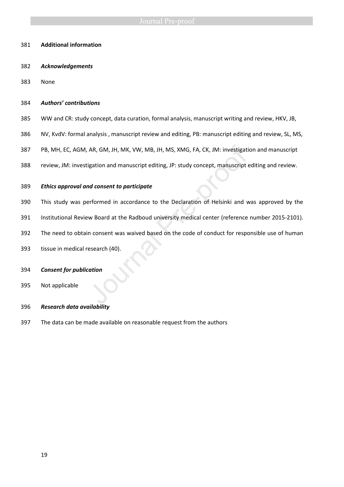### 381 **Additional information**

- 382 *Acknowledgements*
- 383 None

### 384 *Authors' contributions*

- 385 WW and CR: study concept, data curation, formal analysis, manuscript writing and review, HKV, JB,
- 386 NV, KvdV: formal analysis , manuscript review and editing, PB: manuscript editing and review, SL, MS,
- 387 PB, MH, EC, AGM, AR, GM, JH, MK, VW, MB, JH, MS, XMG, FA, CK, JM: investigation and manuscript AR, GM, JH, MK, VW, MB, JH, MS, XMG, FA, CK, JM: investigati<br>igation and manuscript editing, JP: study concept, manuscript of<br>nd consent to participate<br>erformed in accordance to the Declaration of Helsinki and v<br>w Board at
- 388 review, JM: investigation and manuscript editing, JP: study concept, manuscript editing and review.

### 389 *Ethics approval and consent to participate*

- 390 This study was performed in accordance to the Declaration of Helsinki and was approved by the
- 391 Institutional Review Board at the Radboud university medical center (reference number 2015-2101).
- 392 The need to obtain consent was waived based on the code of conduct for responsible use of human
- 393 tissue in medical research (40).

### 394 *Consent for publication*

- 395 Not applicable
- 396 *Research data availability*
- 397 The data can be made available on reasonable request from the authors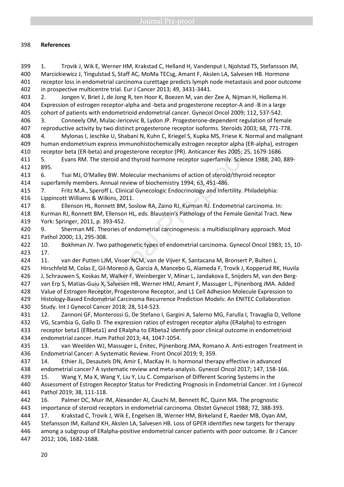### 398 **References**

399 1. Trovik J, Wik E, Werner HM, Krakstad C, Helland H, Vandenput I, Njolstad TS, Stefansson IM, 400 Marcickiewicz J, Tingulstad S, Staff AC, MoMa TECsg, Amant F, Akslen LA, Salvesen HB. Hormone 401 receptor loss in endometrial carcinoma curettage predicts lymph node metastasis and poor outcome 402 in prospective multicentre trial. Eur J Cancer 2013; 49, 3431-3441. 403 2. Jongen V, Briet J, de Jong R, ten Hoor K, Boezen M, van der Zee A, Nijman H, Hollema H. 404 Expression of estrogen receptor-alpha and -beta and progesterone receptor-A and -B in a large 405 cohort of patients with endometrioid endometrial cancer. Gynecol Oncol 2009; 112, 537-542. 406 3. Conneely OM, Mulac-Jericevic B, Lydon JP. Progesterone-dependent regulation of female 407 reproductive activity by two distinct progesterone receptor isoforms. Steroids 2003; 68, 771-778. 408 4. Mylonas I, Jeschke U, Shabani N, Kuhn C, Kriegel S, Kupka MS, Friese K. Normal and malignant 409 human endometrium express immunohistochemically estrogen receptor alpha (ER-alpha), estrogen 410 receptor beta (ER-beta) and progesterone receptor (PR). Anticancer Res 2005; 25, 1679-1686. 411 5. Evans RM. The steroid and thyroid hormone receptor superfamily. Science 1988; 240, 889- 412 895. 413 6. Tsai MJ, O'Malley BW. Molecular mechanisms of action of steroid/thyroid receptor 414 superfamily members. Annual review of biochemistry 1994; 63, 451-486. 415 7. Fritz M.A., Speroff L. Clinical Gynecologic Endocrinology and Infertility. Philadelphia: 416 Lippincott Williams & Wilkins, 2011. 417 8. Ellenson HL, Ronnett BM, Soslow RA, Zaino RJ, Kurman RJ. Endometrial carcinoma. In: 418 Kurman RJ, Ronnett BM, Ellenson HL, eds. Blaustein's Pathology of the Female Genital Tract. New 419 York: Springer, 2011, p. 393-452. 420 9. Sherman ME. Theories of endometrial carcinogenesis: a multidisciplinary approach. Mod 421 Pathol 2000; 13, 295-308. 422 10. Bokhman JV. Two pathogenetic types of endometrial carcinoma. Gynecol Oncol 1983; 15, 10- 423 17. 424 11. van der Putten LJM, Visser NCM, van de Vijver K, Santacana M, Bronsert P, Bulten J, 425 Hirschfeld M, Colas E, Gil-Moreno A, Garcia A, Mancebo G, Alameda F, Trovik J, Kopperud RK, Huvila 426 J, Schrauwen S, Koskas M, Walker F, Weinberger V, Minar L, Jandakova E, Snijders M, van den Berg-427 van Erp S, Matias-Guiu X, Salvesen HB, Werner HMJ, Amant F, Massuger L, Pijnenborg JMA. Added 428 Value of Estrogen Receptor, Progesterone Receptor, and L1 Cell Adhesion Molecule Expression to 429 Histology-Based Endometrial Carcinoma Recurrence Prediction Models: An ENITEC Collaboration 430 Study. Int J Gynecol Cancer 2018; 28, 514-523. 431 12. Zannoni GF, Monterossi G, De Stefano I, Gargini A, Salerno MG, Farulla I, Travaglia D, Vellone 432 VG, Scambia G, Gallo D. The expression ratios of estrogen receptor alpha (ERalpha) to estrogen 433 receptor beta1 (ERbeta1) and ERalpha to ERbeta2 identify poor clinical outcome in endometrioid 434 endometrial cancer. Hum Pathol 2013; 44, 1047-1054. 435 13. van Weelden WJ, Massuger L, Enitec, Pijnenborg JMA, Romano A. Anti-estrogen Treatment in 436 Endometrial Cancer: A Systematic Review. Front Oncol 2019; 9, 359. 437 14. Ethier JL, Desautels DN, Amir E, MacKay H. Is hormonal therapy effective in advanced 438 endometrial cancer? A systematic review and meta-analysis. Gynecol Oncol 2017; 147, 158-166. 439 15. Wang Y, Ma X, Wang Y, Liu Y, Liu C. Comparison of Different Scoring Systems in the 440 Assessment of Estrogen Receptor Status for Predicting Prognosis in Endometrial Cancer. Int J Gynecol 441 Pathol 2019; 38, 111-118. 442 16. Palmer DC, Muir IM, Alexander AI, Cauchi M, Bennett RC, Quinn MA. The prognostic 443 importance of steroid receptors in endometrial carcinoma. Obstet Gynecol 1988; 72, 388-393. 444 17. Krakstad C, Trovik J, Wik E, Engelsen IB, Werner HM, Birkeland E, Raeder MB, Oyan AM, 445 Stefansson IM, Kalland KH, Akslen LA, Salvesen HB. Loss of GPER identifies new targets for therapy 446 among a subgroup of ERalpha-positive endometrial cancer patients with poor outcome. Br J Cancer 447 2012; 106, 1682-1688. um express immunionistical entrictally estiogent receptor applie (to beta) and progesterone receptor (PR). Anticancer Res 2005; 25.<br>The steroid and thyroid hormone receptor superfamily. Science<br>"Malley BW. Molecular mechan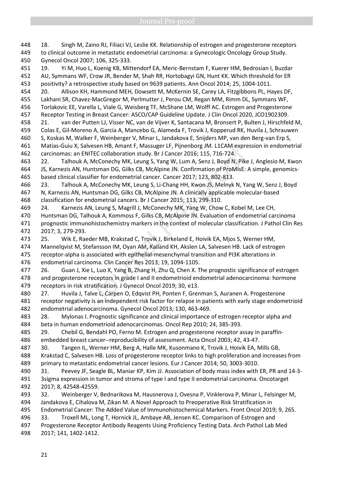448 18. Singh M, Zaino RJ, Filiaci VJ, Leslie KK. Relationship of estrogen and progesterone receptors 449 to clinical outcome in metastatic endometrial carcinoma: a Gynecologic Oncology Group Study. 450 Gynecol Oncol 2007; 106, 325-333. 451 19. Yi M, Huo L, Koenig KB, Mittendorf EA, Meric-Bernstam F, Kuerer HM, Bedrosian I, Buzdar 452 AU, Symmans WF, Crow JR, Bender M, Shah RR, Hortobagyi GN, Hunt KK. Which threshold for ER 453 positivity? a retrospective study based on 9639 patients. Ann Oncol 2014; 25, 1004-1011. 454 20. Allison KH, Hammond MEH, Dowsett M, McKernin SE, Carey LA, Fitzgibbons PL, Hayes DF, 455 Lakhani SR, Chavez-MacGregor M, Perlmutter J, Perou CM, Regan MM, Rimm DL, Symmans WF, 456 Torlakovic EE, Varella L, Viale G, Weisberg TF, McShane LM, Wolff AC. Estrogen and Progesterone 457 Receptor Testing in Breast Cancer: ASCO/CAP Guideline Update. J Clin Oncol 2020, JCO1902309. 458 21. van der Putten LJ, Visser NC, van de Vijver K, Santacana M, Bronsert P, Bulten J, Hirschfeld M, 459 Colas E, Gil-Moreno A, Garcia A, Mancebo G, Alameda F, Trovik J, Kopperud RK, Huvila J, Schrauwen 460 S, Koskas M, Walker F, Weinberger V, Minar L, Jandakova E, Snijders MP, van den Berg-van Erp S, 461 Matias-Guiu X, Salvesen HB, Amant F, Massuger LF, Pijnenborg JM. L1CAM expression in endometrial 462 carcinomas: an ENITEC collaboration study. Br J Cancer 2016; 115, 716-724. 463 22. Talhouk A, McConechy MK, Leung S, Yang W, Lum A, Senz J, Boyd N, Pike J, Anglesio M, Kwon 464 JS, Karnezis AN, Huntsman DG, Gilks CB, McAlpine JN. Confirmation of ProMisE: A simple, genomics-465 based clinical classifier for endometrial cancer. Cancer 2017; 123, 802-813. 466 23. Talhouk A, McConechy MK, Leung S, Li-Chang HH, Kwon JS, Melnyk N, Yang W, Senz J, Boyd 467 N, Karnezis AN, Huntsman DG, Gilks CB, McAlpine JN. A clinically applicable molecular-based 468 classification for endometrial cancers. Br J Cancer 2015; 113, 299-310. 469 24. Karnezis AN, Leung S, Magrill J, McConechy MK, Yang W, Chow C, Kobel M, Lee CH, 470 Huntsman DG, Talhouk A, Kommoss F, Gilks CB, McAlpine JN. Evaluation of endometrial carcinoma 471 prognostic immunohistochemistry markers in the context of molecular classification. J Pathol Clin Res 472 2017; 3, 279-293. 473 25. Wik E, Raeder MB, Krakstad C, Trovik J, Birkeland E, Hoivik EA, Mjos S, Werner HM, 474 Mannelqvist M, Stefansson IM, Oyan AM, Kalland KH, Akslen LA, Salvesen HB. Lack of estrogen 475 receptor-alpha is associated with epithelial-mesenchymal transition and PI3K alterations in 476 endometrial carcinoma. Clin Cancer Res 2013; 19, 1094-1105. 477 26. Guan J, Xie L, Luo X, Yang B, Zhang H, Zhu Q, Chen X. The prognostic significance of estrogen 478 and progesterone receptors in grade I and II endometrioid endometrial adenocarcinoma: hormone 479 receptors in risk stratification. J Gynecol Oncol 2019; 30, e13. 480 27. Huvila J, Talve L, Carpen O, Edqvist PH, Ponten F, Grenman S, Auranen A. Progesterone 481 receptor negativity is an independent risk factor for relapse in patients with early stage endometrioid 482 endometrial adenocarcinoma. Gynecol Oncol 2013; 130, 463-469. 483 28. Mylonas I. Prognostic significance and clinical importance of estrogen receptor alpha and 484 beta in human endometrioid adenocarcinomas. Oncol Rep 2010; 24, 385-393. 485 29. Chebil G, Bendahl PO, Ferno M. Estrogen and progesterone receptor assay in paraffin-486 embedded breast cancer--reproducibility of assessment. Acta Oncol 2003; 42, 43-47. 487 30. Tangen IL, Werner HM, Berg A, Halle MK, Kusonmano K, Trovik J, Hoivik EA, Mills GB, 488 Krakstad C, Salvesen HB. Loss of progesterone receptor links to high proliferation and increases from 489 primary to metastatic endometrial cancer lesions. Eur J Cancer 2014; 50, 3003-3010. 490 31. Peevey JF, Seagle BL, Maniar KP, Kim JJ. Association of body mass index with ER, PR and 14-3- 491 3sigma expression in tumor and stroma of type I and type II endometrial carcinoma. Oncotarget 492 2017; 8, 42548-42559. 493 32. Weinberger V, Bednarikova M, Hausnerova J, Ovesna P, Vinklerova P, Minar L, Felsinger M, 494 Jandakova E, Cihalova M, Zikan M. A Novel Approach to Preoperative Risk Stratification in 495 Endometrial Cancer: The Added Value of Immunohistochemical Markers. Front Oncol 2019; 9, 265. 496 33. Troxell ML, Long T, Hornick JL, Ambaye AB, Jensen KC. Comparison of Estrogen and 497 Progesterone Receptor Antibody Reagents Using Proficiency Testing Data. Arch Pathol Lab Med 498 2017; 141, 1402-1412. vesen HB, Amant F, Massuger LF, Pijnenborg JM. L1CAM expre<br>IITEC collaboration study. Br J Cancer 2016; 115, 716-724.<br>
McConechy MK, Leung S, Yang W, Lum A, Senz J, Boyd N, Pike<br>
untsman DG, Gilks CB, McAlpine JN. Confirma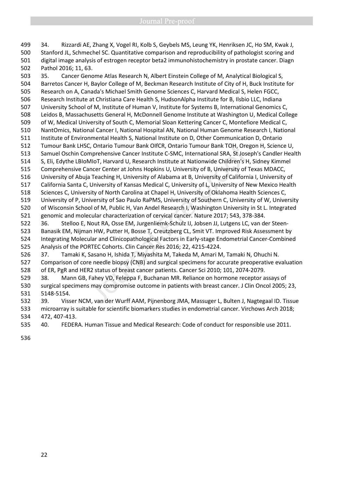499 34. Rizzardi AE, Zhang X, Vogel RI, Kolb S, Geybels MS, Leung YK, Henriksen JC, Ho SM, Kwak J, 500 Stanford JL, Schmechel SC. Quantitative comparison and reproducibility of pathologist scoring and 501 digital image analysis of estrogen receptor beta2 immunohistochemistry in prostate cancer. Diagn 502 Pathol 2016; 11, 63.

503 35. Cancer Genome Atlas Research N, Albert Einstein College of M, Analytical Biological S, 504 Barretos Cancer H, Baylor College of M, Beckman Research Institute of City of H, Buck Institute for 505 Research on A, Canada's Michael Smith Genome Sciences C, Harvard Medical S, Helen FGCC, 506 Research Institute at Christiana Care Health S, HudsonAlpha Institute for B, Ilsbio LLC, Indiana 507 University School of M, Institute of Human V, Institute for Systems B, International Genomics C, 508 Leidos B, Massachusetts General H, McDonnell Genome Institute at Washington U, Medical College 509 of W, Medical University of South C, Memorial Sloan Kettering Cancer C, Montefiore Medical C, 510 NantOmics, National Cancer I, National Hospital AN, National Human Genome Research I, National 511 Institute of Environmental Health S, National Institute on D, Other Communication D, Ontario 512 Tumour Bank LHSC, Ontario Tumour Bank OIfCR, Ontario Tumour Bank TOH, Oregon H, Science U, 513 Samuel Oschin Comprehensive Cancer Institute C-SMC, International SRA, St Joseph's Candler Health 514 S, Eli, Edythe LBIoMIoT, Harvard U, Research Institute at Nationwide Children's H, Sidney Kimmel 515 Comprehensive Cancer Center at Johns Hopkins U, University of B, University of Texas MDACC, 516 University of Abuja Teaching H, University of Alabama at B, University of California I, University of 517 California Santa C, University of Kansas Medical C, University of L, University of New Mexico Health 518 Sciences C, University of North Carolina at Chapel H, University of Oklahoma Health Sciences C, 519 University of P, University of Sao Paulo RaPMS, University of Southern C, University of W, University 520 of Wisconsin School of M, Public H, Van Andel Research I, Washington University in St L. Integrated 521 genomic and molecular characterization of cervical cancer. Nature 2017; 543, 378-384. 522 36. Stelloo E, Nout RA, Osse EM, Jurgenliemk-Schulz IJ, Jobsen JJ, Lutgens LC, van der Steen-523 Banasik EM, Nijman HW, Putter H, Bosse T, Creutzberg CL, Smit VT. Improved Risk Assessment by 524 Integrating Molecular and Clinicopathological Factors in Early-stage Endometrial Cancer-Combined 525 Analysis of the PORTEC Cohorts. Clin Cancer Res 2016; 22, 4215-4224. 526 37. Tamaki K, Sasano H, Ishida T, Miyashita M, Takeda M, Amari M, Tamaki N, Ohuchi N. 527 Comparison of core needle biopsy (CNB) and surgical specimens for accurate preoperative evaluation 528 of ER, PgR and HER2 status of breast cancer patients. Cancer Sci 2010; 101, 2074-2079. 529 38. Mann GB, Fahey VD, Feleppa F, Buchanan MR. Reliance on hormone receptor assays of 530 surgical specimens may compromise outcome in patients with breast cancer. J Clin Oncol 2005; 23, 531 5148-5154. C, Ontario Tumour Bank OlfCR, Ontario Tumour Bank TOH, Ore<br>mprehensive Cancer Institute C-SMC, International SRA, St Jose<br>MIoT, Harvard U, Research Institute at Nationwide Children's H<br>ancer Center at Johns Hopkins U, Univ

532 39. Visser NCM, van der Wurff AAM, Pijnenborg JMA, Massuger L, Bulten J, Nagtegaal ID. Tissue 533 microarray is suitable for scientific biomarkers studies in endometrial cancer. Virchows Arch 2018; 534 472, 407-413.

535 40. FEDERA. Human Tissue and Medical Research: Code of conduct for responsible use 2011.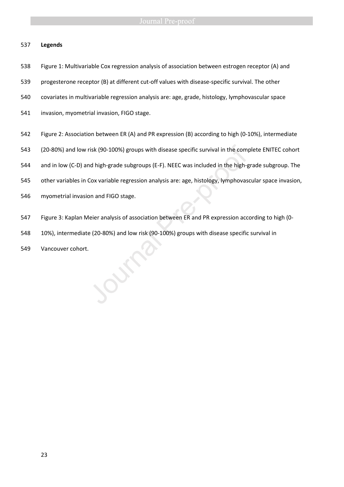### 537 **Legends**

- 538 Figure 1: Multivariable Cox regression analysis of association between estrogen receptor (A) and
- 539 progesterone receptor (B) at different cut-off values with disease-specific survival. The other
- 540 covariates in multivariable regression analysis are: age, grade, histology, lymphovascular space
- 541 invasion, myometrial invasion, FIGO stage.
- 542 Figure 2: Association between ER (A) and PR expression (B) according to high (0-10%), intermediate
- 543 (20-80%) and low risk (90-100%) groups with disease specific survival in the complete ENITEC cohort 20-80%) and low risk (90-100%) groups with disease specific survival in the comparent and in low (C-D) and high-grade subgroups (E-F). NEEC was included in the high-gother variables in Cox variable regression analysis are:
- 544 and in low (C-D) and high-grade subgroups (E-F). NEEC was included in the high-grade subgroup. The
- 545 other variables in Cox variable regression analysis are: age, histology, lymphovascular space invasion,
- 546 myometrial invasion and FIGO stage.
- 547 Figure 3: Kaplan Meier analysis of association between ER and PR expression according to high (0-
- 548 10%), intermediate (20-80%) and low risk (90-100%) groups with disease specific survival in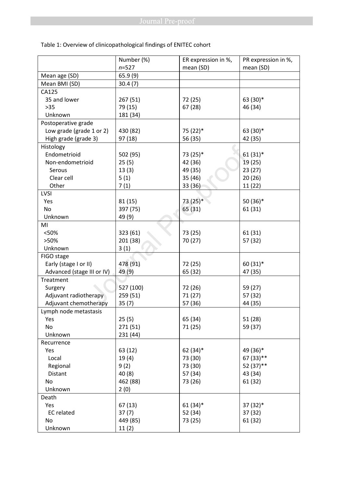## Table 1: Overview of clinicopathological findings of ENITEC cohort

|                            | Number (%) | ER expression in %, | PR expression in %, |
|----------------------------|------------|---------------------|---------------------|
|                            | $n = 527$  | mean (SD)           | mean (SD)           |
| Mean age (SD)              | 65.9(9)    |                     |                     |
| Mean BMI (SD)              | 30.4(7)    |                     |                     |
| CA125                      |            |                     |                     |
| 35 and lower               | 267 (51)   | 72 (25)             | 63 (30)*            |
| $>35$                      | 79 (15)    | 67(28)              | 46 (34)             |
| Unknown                    | 181 (34)   |                     |                     |
| Postoperative grade        |            |                     |                     |
| Low grade (grade 1 or 2)   | 430 (82)   | 75 (22)*            | 63 (30)*            |
| High grade (grade 3)       | 97 (18)    | 56 (35)             | 42 (35)             |
| Histology                  |            |                     |                     |
| Endometrioid               | 502 (95)   | 73 (25)*            | $61(31)^*$          |
| Non-endometrioid           | 25(5)      | 42 (36)             | 19 (25)             |
| Serous                     | 13(3)      | 49 (35)             | 23(27)              |
| Clear cell                 | 5(1)       | 35(46)              | 20(26)              |
| Other                      | 7(1)       | 33 (36)             | 11(22)              |
| LVSI                       |            |                     |                     |
| Yes                        | 81(15)     | 73 (25)*            | 50 (36)*            |
| <b>No</b>                  | 397 (75)   | 65(31)              | 61(31)              |
| Unknown                    | 49 (9)     |                     |                     |
| MI                         |            |                     |                     |
| <50%                       | 323 (61)   | 73 (25)             | 61 (31)             |
| >50%                       | 201 (38)   | 70 (27)             | 57 (32)             |
| Unknown                    | 3(1)       |                     |                     |
| FIGO stage                 |            |                     |                     |
| Early (stage I or II)      | 478 (91)   | 72 (25)             | 60 (31)*            |
| Advanced (stage III or IV) | 49 (9)     | 65 (32)             | 47 (35)             |
| Treatment                  |            |                     |                     |
| Surgery                    | 527 (100)  | 72 (26)             | 59 (27)             |
| Adjuvant radiotherapy      | 259 (51)   | 71(27)              | 57 (32)             |
| Adjuvant chemotherapy      | 35(7)      | 57 (36)             | 44 (35)             |
| Lymph node metastasis      |            |                     |                     |
| Yes                        | 25(5)      | 65 (34)             | 51(28)              |
| No                         | 271 (51)   | 71 (25)             | 59 (37)             |
| Unknown                    | 231 (44)   |                     |                     |
| Recurrence                 |            |                     |                     |
| Yes                        | 63 (12)    | 62 (34)*            | 49 (36)*            |
| Local                      | 19(4)      | 73 (30)             | 67 (33)**           |
| Regional                   | 9(2)       | 73 (30)             | 52 (37)**           |
| Distant                    | 40(8)      | 57 (34)             | 43 (34)             |
| No                         | 462 (88)   | 73 (26)             | 61(32)              |
| Unknown                    | 2(0)       |                     |                     |
| Death                      |            |                     |                     |
| Yes                        | 67(13)     | $61(34)$ *          | $37(32)*$           |
| <b>EC</b> related          | 37(7)      | 52 (34)             | 37 (32)             |
| No                         | 449 (85)   | 73 (25)             | 61(32)              |
| Unknown                    | 11(2)      |                     |                     |
|                            |            |                     |                     |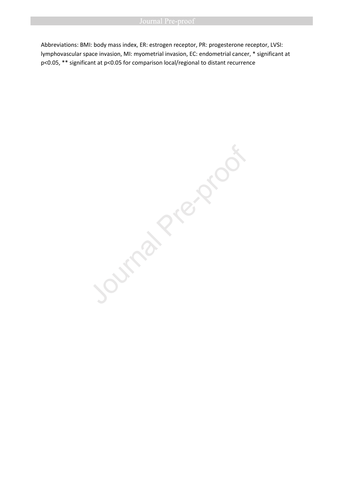Abbreviations: BMI: body mass index, ER: estrogen receptor, PR: progesterone receptor, LVSI: lymphovascular space invasion, MI: myometrial invasion, EC: endometrial cancer, \* significant at p<0.05, \*\* significant at p<0.05 for comparison local/regional to distant recurrence

Ournal Pre-proof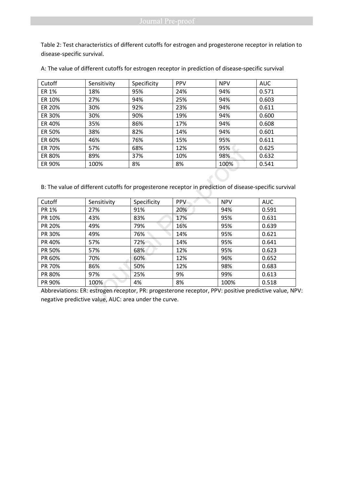Table 2: Test characteristics of different cutoffs for estrogen and progesterone receptor in relation to disease-specific survival.

| Cutoff | Sensitivity | Specificity | <b>PPV</b> | <b>NPV</b> | <b>AUC</b> |
|--------|-------------|-------------|------------|------------|------------|
| ER 1%  | 18%         | 95%         | 24%        | 94%        | 0.571      |
| ER 10% | 27%         | 94%         | 25%        | 94%        | 0.603      |
| ER 20% | 30%         | 92%         | 23%        | 94%        | 0.611      |
| ER 30% | 30%         | 90%         | 19%        | 94%        | 0.600      |
| ER 40% | 35%         | 86%         | 17%        | 94%        | 0.608      |
| ER 50% | 38%         | 82%         | 14%        | 94%        | 0.601      |
| ER 60% | 46%         | 76%         | 15%        | 95%        | 0.611      |
| ER 70% | 57%         | 68%         | 12%        | 95%        | 0.625      |
| ER 80% | 89%         | 37%         | 10%        | 98%        | 0.632      |
| ER 90% | 100%        | 8%          | 8%         | 100%       | 0.541      |

A: The value of different cutoffs for estrogen receptor in prediction of disease-specific survival

| ER 70%                                                                                                 | 57%         | 68%         | 12%        | 95%        | 0.625      |
|--------------------------------------------------------------------------------------------------------|-------------|-------------|------------|------------|------------|
| ER 80%                                                                                                 | 89%         | 37%         | 10%        | 98%        | 0.632      |
| ER 90%                                                                                                 | 100%        | 8%          | 8%         | 100%       | 0.541      |
|                                                                                                        |             |             |            |            |            |
| B: The value of different cutoffs for progesterone receptor in prediction of disease-specific survival |             |             |            |            |            |
| Cutoff                                                                                                 | Sensitivity | Specificity | <b>PPV</b> | <b>NPV</b> | <b>AUC</b> |
| PR 1%                                                                                                  | 27%         | 91%         | 20%        | 94%        | 0.591      |
| PR 10%                                                                                                 | 43%         | 83%         | 17%        | 95%        | 0.631      |
| PR 20%                                                                                                 | 49%         | 79%         | 16%        | 95%        | 0.639      |
| PR 30%                                                                                                 | 49%         | 76%         | 14%        | 95%        | 0.621      |
| PR 40%                                                                                                 | 57%         | 72%         | 14%        | 95%        | 0.641      |
| PR 50%                                                                                                 | 57%         | 68%         | 12%        | 95%        | 0.623      |
| PR 60%                                                                                                 | 70%         | 60%         | 12%        | 96%        | 0.652      |
| PR 70%                                                                                                 | 86%         | 50%         | 12%        | 98%        | 0.683      |
| PR 80%                                                                                                 | 97%         | 25%         | 9%         | 99%        | 0.613      |
| PR 90%                                                                                                 | 100%        | 4%          | 8%         | 100%       | 0.518      |
| Abbreviations: ER: estrogen receptor, PR: progesterone receptor, PPV: positive predictive value, NP    |             |             |            |            |            |
| negative predictive value, AUC: area under the curve.                                                  |             |             |            |            |            |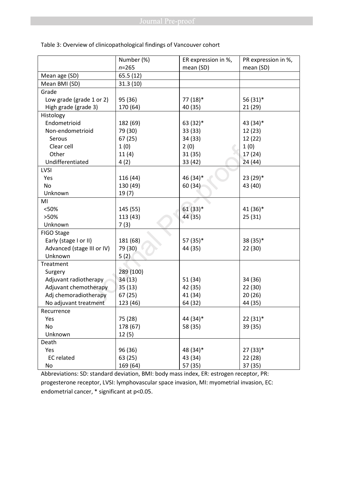### Table 3: Overview of clinicopathological findings of Vancouver cohort

|                            | Number (%) | ER expression in %, | PR expression in %, |
|----------------------------|------------|---------------------|---------------------|
|                            | $n = 265$  | mean (SD)           | mean (SD)           |
| Mean age (SD)              | 65.5(12)   |                     |                     |
| Mean BMI (SD)              | 31.3(10)   |                     |                     |
| Grade                      |            |                     |                     |
| Low grade (grade 1 or 2)   | 95 (36)    | 77 (18)*            | 56 (31)*            |
| High grade (grade 3)       | 170 (64)   | 40 (35)             | 21(29)              |
| Histology                  |            |                     |                     |
| Endometrioid               | 182 (69)   | 63 (32)*            | 43 (34)*            |
| Non-endometrioid           | 79 (30)    | 33 (33)             | 12 (23)             |
| Serous                     | 67(25)     | 34 (33)             | 12 (22)             |
| Clear cell                 | 1(0)       | 2(0)                | 1(0)                |
| Other                      | 11(4)      | 31(35)              | 17(24)              |
| Undifferentiated           | 4(2)       | 33 (42)             | 24(44)              |
| LVSI                       |            |                     |                     |
| Yes                        | 116 (44)   | 46 (34)*            | 23 (29)*            |
| No                         | 130 (49)   | 60 (34)             | 43 (40)             |
| Unknown                    | 19(7)      |                     |                     |
| MI                         |            |                     |                     |
| <50%                       | 145 (55)   | $61(33)*$           | 41 (36)*            |
| >50%                       | 113 (43)   | 44 (35)             | 25(31)              |
| Unknown                    | 7(3)       |                     |                     |
| FIGO Stage                 |            |                     |                     |
| Early (stage I or II)      | 181 (68)   | 57 (35)*            | 38 (35)*            |
| Advanced (stage III or IV) | 79 (30)    | 44 (35)             | 22(30)              |
| Unknown                    | 5(2)       |                     |                     |
| Treatment                  |            |                     |                     |
| Surgery                    | 289 (100)  |                     |                     |
| Adjuvant radiotherapy      | 34(13)     | 51 (34)             | 34 (36)             |
| Adjuvant chemotherapy      | 35(13)     | 42 (35)             | 22(30)              |
| Adj chemoradiotherapy      | 67(25)     | 41 (34)             | 20(26)              |
| No adjuvant treatment      | 123 (46)   | 64 (32)             | 44 (35)             |
| Recurrence                 |            |                     |                     |
| Yes                        | 75 (28)    | 44 (34)*            | $22(31)^*$          |
| No                         | 178 (67)   | 58 (35)             | 39 (35)             |
| Unknown                    | 12(5)      |                     |                     |
| Death                      |            |                     |                     |
| Yes                        | 96 (36)    | 48 (34)*            | $27(33)*$           |
| <b>EC</b> related          | 63 (25)    | 43 (34)             | 22 (28)             |
| No                         | 169 (64)   | 57 (35)             | 37 (35)             |

Abbreviations: SD: standard deviation, BMI: body mass index, ER: estrogen receptor, PR: progesterone receptor, LVSI: lymphovascular space invasion, MI: myometrial invasion, EC: endometrial cancer, \* significant at p<0.05.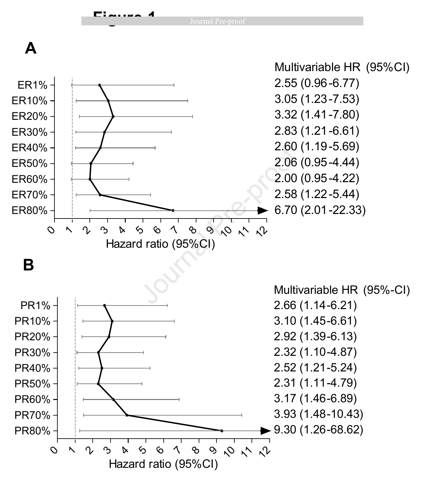

 $\Omega$ 

PR80% PR70% PR60%

 $\breve{\phantom{1}}$ 

 $\gamma$ 

 $\sim$ 

 $\triangleright$ 

 $\mathcal{L}$ 

6

Hazard ratio (95%CI)

 $\boldsymbol{\gamma}$ 

 $\infty$ 

- 3.17 (1.46-6.89)
- 3.93 (1.48-10.43)
- 9.30 (1.26-68.62)

9 10 11 12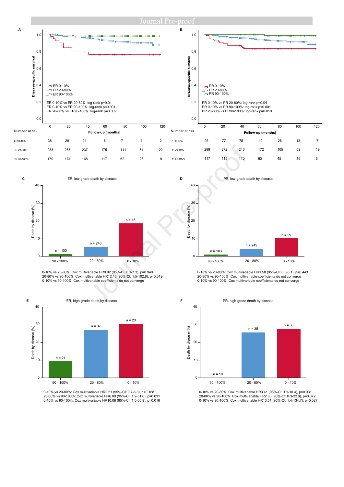

40



 0-10% vs 20-80%: Cox multivariable HR0.92 (95%-CI: 0.1-7.3), p=0.940 20-80% vs 90-100%: Cox multivariable HR12.46 (95%-CI: 1.5-102.8), p=0.019 0-10% vs 90-100%: Cox multivariable coefficients do not converge



0-10% vs 20-80%: Cox multivariable HR2.21 (95%-CI: 0.7-6.8), p=0.168 20-80% vs 90-100%: Cox multivariable HR6.09 (95%-CI: 1.2-31.6), p=0.031 0-10% vs 90-100%: Cox multivariable HR10.08 (95%-CI: 1.5-65.9), p=0.016



PR, low-grade death by disease

 0-10% vs 20-80%: Cox multivariable HR1.58 (95%-CI: 0.5-5.1), p=0.443 20-80% vs 90-100%: Cox multivariable coefficients do not converge 0-10% vs 90-100%: Cox multivariable coefficients do not converge



0-10% vs 20-80%: Cox multivariable HR3.41 (95%-CI: 1.1-10.4), p=0.031 20-80% vs 90-100%: Cox multivariable HR2.66 (95%-CI: 0.3-22.9), p=0.372 0-10% vs 90-100%: Cox multivariable HR13.51 (95%-CI: 1.4-134.7), p=0.027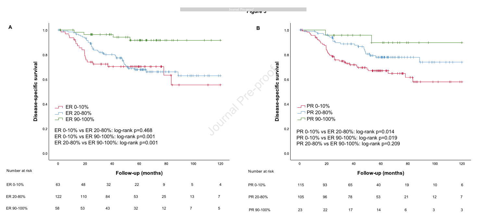

| òś         | 80 | 100 | 120 |  |  |  |
|------------|----|-----|-----|--|--|--|
| ) (months) |    |     |     |  |  |  |
| )          | 19 | 10  | 6   |  |  |  |
|            | 21 | 12  | 7   |  |  |  |
|            | 6  | 3   | 3   |  |  |  |